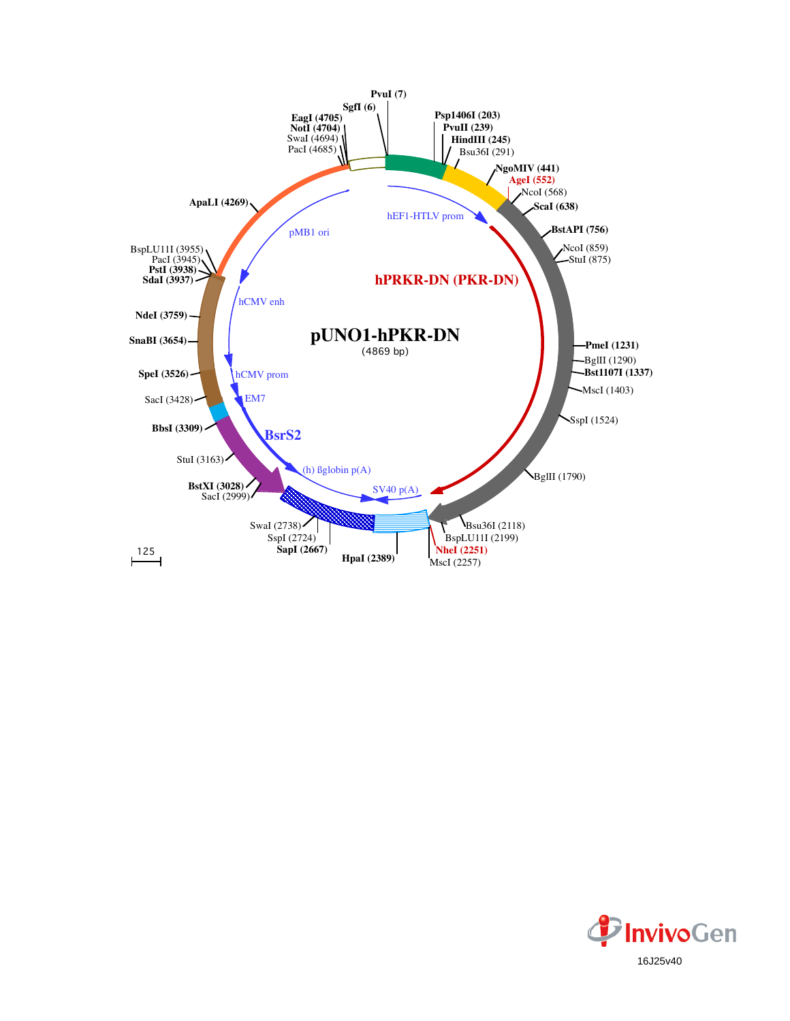

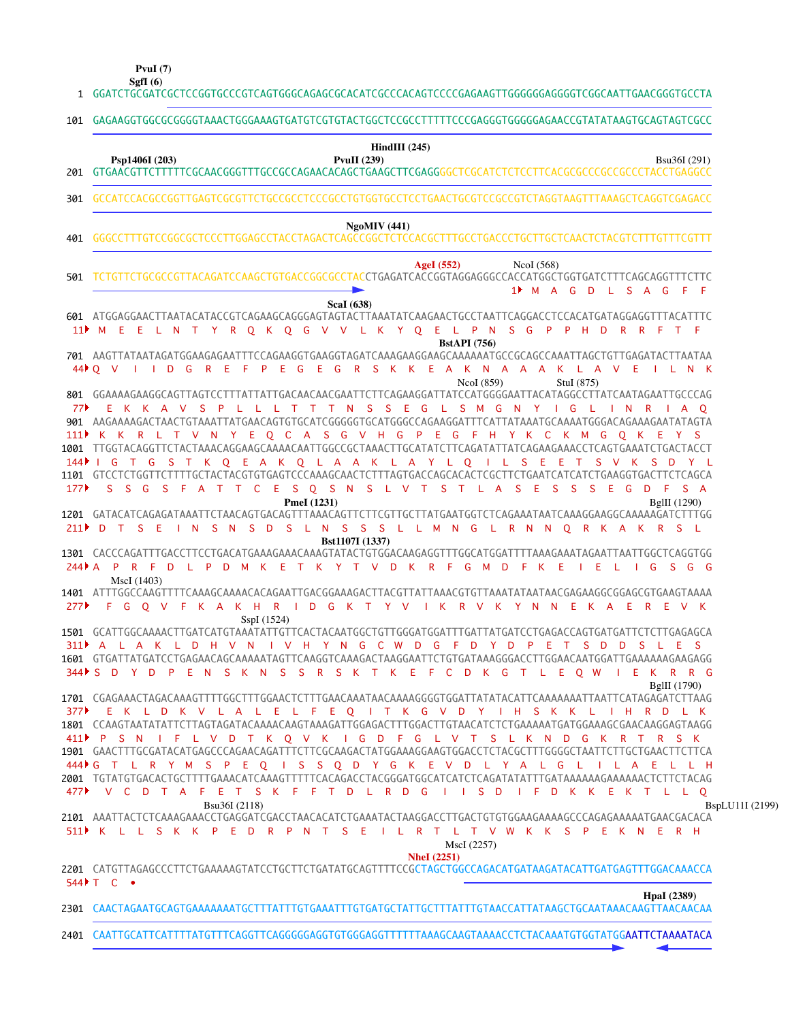|                    | PvuI $(7)$<br>SgfI $(6)$                                                                                                                                                                                                                                                                                                                                                                                                                                                     |
|--------------------|------------------------------------------------------------------------------------------------------------------------------------------------------------------------------------------------------------------------------------------------------------------------------------------------------------------------------------------------------------------------------------------------------------------------------------------------------------------------------|
|                    | 1 GGATCTGCGATCGCTCCGGTGCCCGTCAGTGGGCAGAGCGCACATCGCCCACAGTCCCCGAGAAGTTGGGGGGAGGGTCGGCAATTGAACGGGTGCCTA                                                                                                                                                                                                                                                                                                                                                                        |
| 101                | GAGAAGGTGGGGGGGTAAACTGGGAAAGTGATGTCGTGTATGCCGCCTTTTTTCCCGAGGGTGGGGAGAACCGTATATAAGTGCAGTAGTCGCC                                                                                                                                                                                                                                                                                                                                                                               |
| 201                | $HindIII$ (245)<br><b>PvuII</b> (239)<br>Psp1406I (203)<br>Bsu36I (291)                                                                                                                                                                                                                                                                                                                                                                                                      |
| 301                | GCCATCCACGCCGGTTGAGTCGCGTTCTGCCGCCTCCCGCCTGTGGTGCCTCCTGAACTGCGTCCGCCGTCTAGGTAAGTTTAAAGCTCAGGTCGAGACC                                                                                                                                                                                                                                                                                                                                                                         |
| 401                | NgoMIV(441)                                                                                                                                                                                                                                                                                                                                                                                                                                                                  |
| 501                | AgeI $(552)$<br>NcoI $(568)$<br>TCTGTTCTGCGCCGTTACAGATCCAAGCTGTGACCGGCGCCTACCTGAGATCACCGGTAGGAGGGCCACCATGGCTGGTGATCTTTCAGCAGGTTTCTTC<br>1 <sup>M</sup> M A G D L S A G<br>- FF                                                                                                                                                                                                                                                                                               |
|                    | <b>ScaI</b> (638)<br>601 ATGGAGGAACTTAATACATACCGTCAGAAGCAGGGAGTAGTACTTAAATATCAAGAACTGCCTAATTCAGGACCTCCACATGATAGGAGGTTTACATTTC<br>11 M E E L N T Y R Q K Q G V V L K Y Q E L P N S G P P H<br>D<br>R R F T F                                                                                                                                                                                                                                                                  |
|                    | <b>BstAPI</b> (756)<br>F P E G<br>G<br>R<br>SKKEAKNAAAKLAVE<br>44 ▶ Q V<br>$\mathbf{I}$<br>D<br>G<br>R<br>Ε<br>- E<br>ILNK<br>$\sim$ 1.00<br>NcoI (859)<br>StuI (875)                                                                                                                                                                                                                                                                                                        |
| 77                 | 801 GGAAAAGAAGGCAGTTAGTCCTTTATTATTGACAACAACGAATTCTTCAGAAGGATTATCCATGGGGAATTACATAGGCCTTATCAATAGAATTGCCCAG<br>T T T N S S E G L S M G N Y<br>E K K A V<br>-S<br>$\mathsf{P}$<br>IG L<br>IN RIAO<br>$\mathsf L$<br>111P K K R L T V N Y E Q C A S G V H G P E G F H Y K C K M G Q K<br>-E<br>Y S                                                                                                                                                                                |
| 144 ▶ │<br>177     | 1001 TTGGTACAGGTTCTACTAAACAGGAAGCAAAACAATTGGCCGCTAAACTTGCATATCTTCAGATATTATCAGAAGAAACCTCAGTGAAATCTGACTACCT<br>G<br>T G<br>S T K Q E A K Q L A A K L A Y L Q I L S E<br>Æ<br>$\top$<br>S V K<br>- S<br><b>D</b><br>1101 GTCCTCTGGTTCTTTTGCTACTACGTGTGAGTCCCAAAGCAACTCTTTAGTGACCAGCACACTCGCTTCTGAATCATCATCTGAAGGTGACTTCTCAGCA<br>C E S Q S N S L V T S T L A<br><sub>S</sub><br>S.<br>S.<br>G<br>-S<br>$\top$<br>Ε<br>S.<br>S.<br>S.<br>E G<br>- D<br>- F<br>S A<br>A<br>$\top$ |
| 211                | PmeI (1231)<br>BglII (1290)<br>D T<br>S E<br>$\blacksquare$<br>- S<br><b>D</b><br>S L N S S S L L M N G L R N N O R K A K R S L<br>-N<br>-S                                                                                                                                                                                                                                                                                                                                  |
| $744$ $\uparrow$ A | Bst1107I (1337)<br>L P D M K E T K Y T V D K R F<br>P R F<br>D<br>G M D<br>FK E<br>- I E<br>$\Box$ G<br>SG G<br>- L                                                                                                                                                                                                                                                                                                                                                          |
| 277                | MscI (1403)<br>1401 ATTTGGCCAAGTTTTCAAAGCAAAACACAGAATTGACGGAAAGACTTACGTTATTAAACGTGTTAAATATAATAACGAGAAGGCGGAGCGTGAAGTAAAA<br>KAKHRID GKTYVIKRVKYNNEKAE<br>EV K<br>O V<br>- F<br>R<br>SspI (1524)                                                                                                                                                                                                                                                                              |
|                    | 311 A L A K L D H V N<br>IVHYNGCWDGFDYDPETSDDSLES<br>1601 GTGATTATGATCCTGAGAACAGCAAAAATAGTTCAAGGTCAAAGACTAAGGAATTCTGTGATAAAGGGACCTTGGAACAATGGATTGAAAAAAGAAGAGGG<br>344 S D Y D P E N S K N S S R S K T K E F C D K G T L E O W<br>I E K R R G<br>BglII (1790)                                                                                                                                                                                                                |
|                    | 377 EKLD K V L A L E L F E Q I T K G V D Y I H S K K L<br>I H R D L K<br>1801 CCAAGTAATATATTCTTAGTAGATACAAAACAAGTAAAGATTGGAGACTTTGGACTTGTAACATCTCTGAAAAATGATGGAAAGCGAACAAGGAGTAAGG<br>411 PSN IFL V D T K Q V K I G D F G L V T S L K N D G K R T R S K                                                                                                                                                                                                                      |
| 477 ▶              | 1901 GAACTTTGCGATACATGAGCCCAGAACAGATTTCTTCGCAAGACTATGGAAAGGAAGTGGACCTCTACGCTTTGGGGCTAATTCTTGCTGAACTTCTTCA<br>444▶ G T L R Y M S P E Q I S S Q D Y G K E V D L Y A L G<br>ILA E<br>L L H<br>- L<br>2001 TGTATGTGACACTGCTTTTGAAACATCAAAGTTTTTCACAGACCTACGGGATGGCATCATCTCAGATATATTTGATAAAAAAAGAAAAACTCTTCTACAG<br>V C D T A F E T S K F F T D L R D G<br>IISD<br>I F D K K E K T L L Q<br>Bsu36I (2118)                                                                         |
|                    | BspLU11I (2199)<br>2101 AAATTACTCTCAAAGAAACCTGAGGATCGACCTAACACATCTGAAATACTAAGGACCTTGACTGTGTGGAAGAAAAGCCCAGAGAAAAATGAACGACACA<br>511) K L L S K K P E D R P N T S E I L R T L T V W K K S P E K N E R H<br>MscI (2257)                                                                                                                                                                                                                                                        |
|                    | <b>NheI</b> (2251)<br>2201 CATGTTAGAGCCCTTCTGAAAAAGTATCCTGCTTCTGATATGCAGTTTTCCGCTAGCTGGCCAGACATGATAAGATACATTGATGAGTTTGGACAAACCA<br>$544$ $\uparrow$ $\uparrow$ $\uparrow$ $\uparrow$                                                                                                                                                                                                                                                                                         |
|                    | <b>HpaI</b> (2389)<br>2301 CAACTAGAATGCAGTGAAAAAAATGCTTTATTTGTGAAATTTGTGATGCTATTGCTTTATTTGTAACCATTATAAGCTGCAATAAACAAGTTAACAACAA                                                                                                                                                                                                                                                                                                                                              |
|                    | 2401 CAATTGCATTCATTTTATGTTTCAGGTTCAGGGGGAGGTGTGGGAGGTTTTTTTAAAGCAAGTAAAACCTCTACAAATGTGGTATGGAATTCTAAAATACA                                                                                                                                                                                                                                                                                                                                                                   |